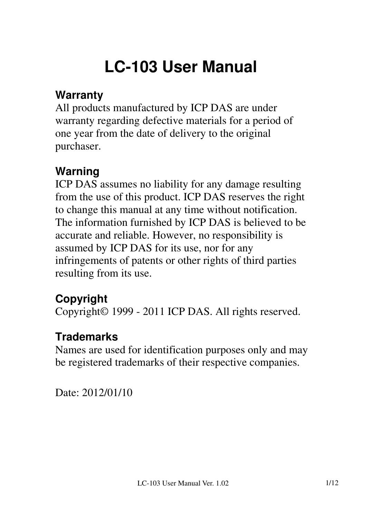# **LC-103 User Manual**

#### **Warranty**

All products manufactured by ICP DAS are under warranty regarding defective materials for a period of one year from the date of delivery to the original purchaser.

## **Warning**

ICP DAS assumes no liability for any damage resulting from the use of this product. ICP DAS reserves the right to change this manual at any time without notification. The information furnished by ICP DAS is believed to be accurate and reliable. However, no responsibility is assumed by ICP DAS for its use, nor for any infringements of patents or other rights of third parties resulting from its use.

## **Copyright**

Copyright© 1999 - 2011 ICP DAS. All rights reserved.

#### **Trademarks**

Names are used for identification purposes only and may be registered trademarks of their respective companies.

Date: 2012/01/10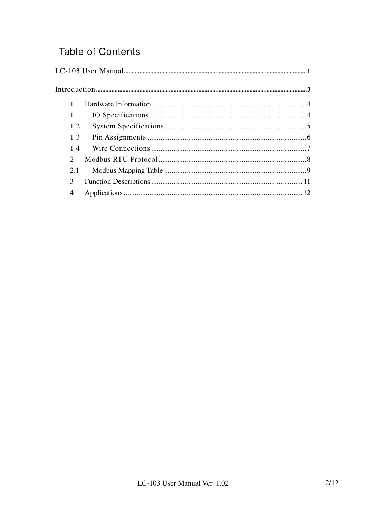#### **Table of Contents**

| 1.1           |  |  |  |  |
|---------------|--|--|--|--|
| 1.2           |  |  |  |  |
| 1.3           |  |  |  |  |
| 1.4           |  |  |  |  |
| $\mathcal{D}$ |  |  |  |  |
| 2.1           |  |  |  |  |
| 3             |  |  |  |  |
| 4             |  |  |  |  |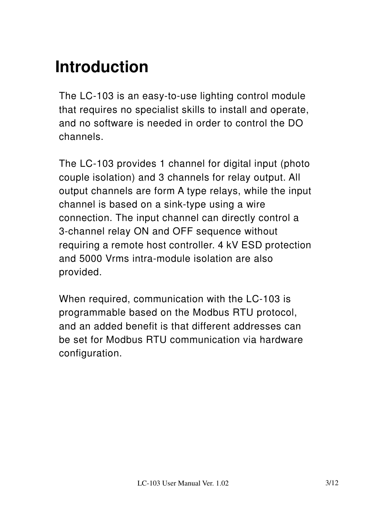# **Introduction**

The LC-103 is an easy-to-use lighting control module that requires no specialist skills to install and operate, and no software is needed in order to control the DO channels.

The LC-103 provides 1 channel for digital input (photo couple isolation) and 3 channels for relay output. All output channels are form A type relays, while the input channel is based on a sink-type using a wire connection. The input channel can directly control a 3-channel relay ON and OFF sequence without requiring a remote host controller. 4 kV ESD protection and 5000 Vrms intra-module isolation are also provided.

When required, communication with the LC-103 is programmable based on the Modbus RTU protocol, and an added benefit is that different addresses can be set for Modbus RTU communication via hardware configuration.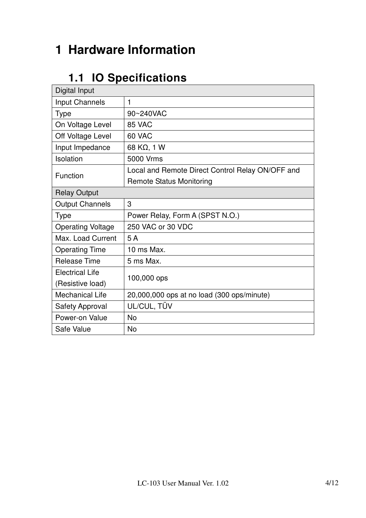## **1 Hardware Information**

## **1.1 IO Specifications**

| Digital Input            |                                                  |  |  |  |  |
|--------------------------|--------------------------------------------------|--|--|--|--|
| <b>Input Channels</b>    | 1                                                |  |  |  |  |
| Type                     | 90~240VAC                                        |  |  |  |  |
| On Voltage Level         | 85 VAC                                           |  |  |  |  |
| Off Voltage Level        | 60 VAC                                           |  |  |  |  |
| Input Impedance          | 68 KΩ, 1 W                                       |  |  |  |  |
| Isolation                | 5000 Vrms                                        |  |  |  |  |
| Function                 | Local and Remote Direct Control Relay ON/OFF and |  |  |  |  |
|                          | <b>Remote Status Monitoring</b>                  |  |  |  |  |
| <b>Relay Output</b>      |                                                  |  |  |  |  |
| <b>Output Channels</b>   | 3                                                |  |  |  |  |
| <b>Type</b>              | Power Relay, Form A (SPST N.O.)                  |  |  |  |  |
| <b>Operating Voltage</b> | 250 VAC or 30 VDC                                |  |  |  |  |
| Max. Load Current        | 5A                                               |  |  |  |  |
| <b>Operating Time</b>    | 10 ms Max.                                       |  |  |  |  |
| <b>Release Time</b>      | 5 ms Max.                                        |  |  |  |  |
| <b>Electrical Life</b>   | 100,000 ops                                      |  |  |  |  |
| (Resistive load)         |                                                  |  |  |  |  |
| <b>Mechanical Life</b>   | 20,000,000 ops at no load (300 ops/minute)       |  |  |  |  |
| <b>Safety Approval</b>   | UL/CUL, TÜV                                      |  |  |  |  |
| Power-on Value           | <b>No</b>                                        |  |  |  |  |
| Safe Value               | <b>No</b>                                        |  |  |  |  |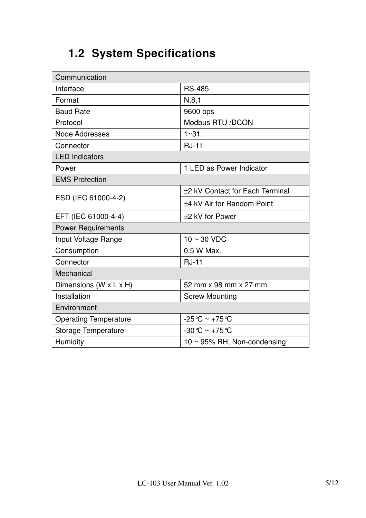## **1.2 System Specifications**

| Communication                |                                    |  |  |  |  |
|------------------------------|------------------------------------|--|--|--|--|
| Interface                    | <b>RS-485</b>                      |  |  |  |  |
| Format                       | N, 8, 1                            |  |  |  |  |
| <b>Baud Rate</b>             | 9600 bps                           |  |  |  |  |
| Protocol                     | Modbus RTU /DCON                   |  |  |  |  |
| <b>Node Addresses</b>        | $1 - 31$                           |  |  |  |  |
| Connector                    | <b>RJ-11</b>                       |  |  |  |  |
| <b>LED Indicators</b>        |                                    |  |  |  |  |
| Power                        | 1 LED as Power Indicator           |  |  |  |  |
| <b>EMS Protection</b>        |                                    |  |  |  |  |
|                              | ±2 kV Contact for Each Terminal    |  |  |  |  |
| ESD (IEC 61000-4-2)          | ±4 kV Air for Random Point         |  |  |  |  |
| EFT (IEC 61000-4-4)          | ±2 kV for Power                    |  |  |  |  |
| <b>Power Requirements</b>    |                                    |  |  |  |  |
| Input Voltage Range          | $10 \sim 30$ VDC                   |  |  |  |  |
| Consumption                  | 0.5 W Max.                         |  |  |  |  |
| Connector                    | <b>RJ-11</b>                       |  |  |  |  |
| Mechanical                   |                                    |  |  |  |  |
| Dimensions (W x L x H)       | 52 mm x 98 mm x 27 mm              |  |  |  |  |
| Installation                 | <b>Screw Mounting</b>              |  |  |  |  |
| Environment                  |                                    |  |  |  |  |
| <b>Operating Temperature</b> | $-25^{\circ}$ C ~ +75 $^{\circ}$ C |  |  |  |  |
| Storage Temperature          | $-30^{\circ}$ C ~ $+75^{\circ}$ C  |  |  |  |  |
| Humidity                     | 10 $\sim$ 95% RH, Non-condensing   |  |  |  |  |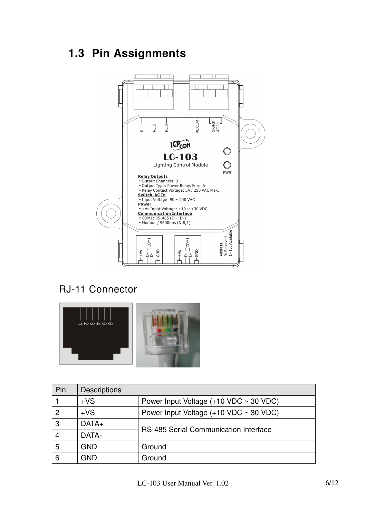## **1.3 Pin Assignments**



#### RJ-11 Connector



| Pin            | <b>Descriptions</b> |                                               |  |  |  |  |  |
|----------------|---------------------|-----------------------------------------------|--|--|--|--|--|
|                | $+VS$               | Power Input Voltage $(+10$ VDC $\sim$ 30 VDC) |  |  |  |  |  |
| $\overline{2}$ | $+VS$               | Power Input Voltage $(+10$ VDC $\sim$ 30 VDC) |  |  |  |  |  |
| 3              | $DATA+$             | <b>RS-485 Serial Communication Interface</b>  |  |  |  |  |  |
| 4              | DATA-               |                                               |  |  |  |  |  |
| 5              | <b>GND</b>          | Ground                                        |  |  |  |  |  |
| 6              | GND                 | Ground                                        |  |  |  |  |  |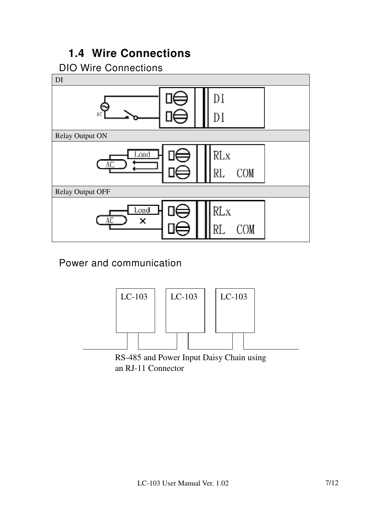#### **1.4 Wire Connections**

#### DIO Wire Connections



#### Power and communication



an RJ-11 Connector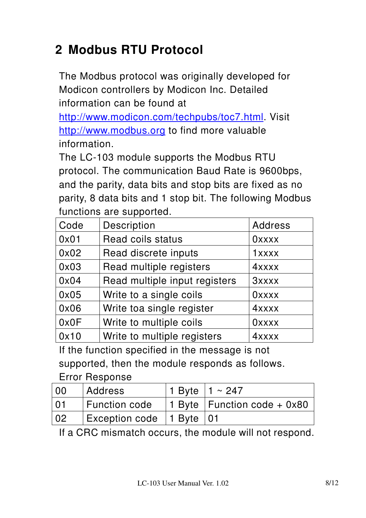# **2 Modbus RTU Protocol**

The Modbus protocol was originally developed for Modicon controllers by Modicon Inc. Detailed information can be found at

http://www.modicon.com/techpubs/toc7.html. Visit http://www.modbus.org to find more valuable information.

The LC-103 module supports the Modbus RTU protocol. The communication Baud Rate is 9600bps, and the parity, data bits and stop bits are fixed as no parity, 8 data bits and 1 stop bit. The following Modbus functions are supported.

| Code | Description                   | <b>Address</b> |
|------|-------------------------------|----------------|
| 0x01 | Read coils status             | <b>Oxxxx</b>   |
| 0x02 | Read discrete inputs          | 1xxxx          |
| 0x03 | Read multiple registers       | 4xxxx          |
| 0x04 | Read multiple input registers | <b>3xxxx</b>   |
| 0x05 | Write to a single coils       | <b>Oxxxx</b>   |
| 0x06 | Write toa single register     | 4xxxx          |
| 0x0F | Write to multiple coils       | <b>Oxxxx</b>   |
| 0x10 | Write to multiple registers   | 4xxxx          |

If the function specified in the message is not supported, then the module responds as follows.

#### Error Response

| 00              | <b>Address</b>               | 1 Byte $1 \sim 247$                             |
|-----------------|------------------------------|-------------------------------------------------|
| $\overline{01}$ |                              | Function code   1 Byte   Function code + $0x80$ |
| $\overline{0}$  | Exception code   1 Byte   01 |                                                 |

If a CRC mismatch occurs, the module will not respond.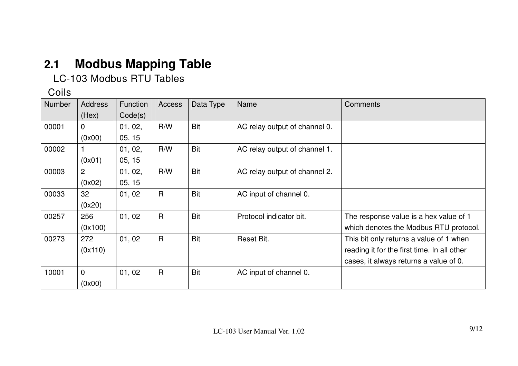# **2.1 Modbus Mapping Table**

LC-103 Modbus RTU Tables

#### Coils

| <b>Number</b> | <b>Address</b> | <b>Function</b> | Access       | Data Type  | <b>Name</b>                   | Comments                                    |
|---------------|----------------|-----------------|--------------|------------|-------------------------------|---------------------------------------------|
|               | (Hex)          | Code(s)         |              |            |                               |                                             |
| 00001         | 0              | 01, 02,         | R/W          | <b>Bit</b> | AC relay output of channel 0. |                                             |
|               | (0x00)         | 05, 15          |              |            |                               |                                             |
| 00002         |                | 01, 02,         | R/W          | <b>Bit</b> | AC relay output of channel 1. |                                             |
|               | (0x01)         | 05, 15          |              |            |                               |                                             |
| 00003         | 2              | 01, 02,         | R/W          | <b>Bit</b> | AC relay output of channel 2. |                                             |
|               | (0x02)         | 05, 15          |              |            |                               |                                             |
| 00033         | 32             | 01,02           | $\mathsf{R}$ | <b>Bit</b> | AC input of channel 0.        |                                             |
|               | (0x20)         |                 |              |            |                               |                                             |
| 00257         | 256            | 01,02           | $\mathsf{R}$ | <b>Bit</b> | Protocol indicator bit.       | The response value is a hex value of 1      |
|               | (0x100)        |                 |              |            |                               | which denotes the Modbus RTU protocol.      |
| 00273         | 272            | 01,02           | $\mathsf{R}$ | <b>Bit</b> | Reset Bit.                    | This bit only returns a value of 1 when     |
|               | (0x110)        |                 |              |            |                               | reading it for the first time. In all other |
|               |                |                 |              |            |                               | cases, it always returns a value of 0.      |
| 10001         | $\mathbf 0$    | 01,02           | $\mathsf{R}$ | <b>Bit</b> | AC input of channel 0.        |                                             |
|               | (0x00)         |                 |              |            |                               |                                             |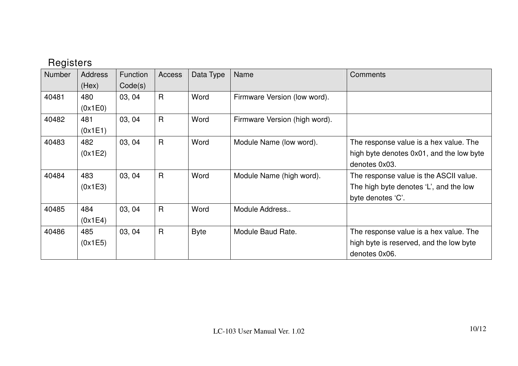#### Registers

| <b>Number</b> | <b>Address</b> | <b>Function</b> | <b>Access</b> | Data Type   | <b>Name</b>                   | Comments                                 |
|---------------|----------------|-----------------|---------------|-------------|-------------------------------|------------------------------------------|
|               | (Hex)          | Code(s)         |               |             |                               |                                          |
| 40481         | 480            | 03, 04          | $\mathsf{R}$  | Word        | Firmware Version (low word).  |                                          |
|               | (0x1E0)        |                 |               |             |                               |                                          |
| 40482         | 481            | 03, 04          | $\mathsf{R}$  | Word        | Firmware Version (high word). |                                          |
|               | (0x1E1)        |                 |               |             |                               |                                          |
| 40483         | 482            | 03, 04          | $\mathsf{R}$  | Word        | Module Name (low word).       | The response value is a hex value. The   |
|               | (0x1E2)        |                 |               |             |                               | high byte denotes 0x01, and the low byte |
|               |                |                 |               |             |                               | denotes 0x03.                            |
| 40484         | 483            | 03, 04          | $\mathsf{R}$  | Word        | Module Name (high word).      | The response value is the ASCII value.   |
|               | (0x1E3)        |                 |               |             |                               | The high byte denotes 'L', and the low   |
|               |                |                 |               |             |                               | byte denotes 'C'.                        |
| 40485         | 484            | 03, 04          | $\mathsf{R}$  | Word        | Module Address                |                                          |
|               | (0x1E4)        |                 |               |             |                               |                                          |
| 40486         | 485            | 03, 04          | $\mathsf{R}$  | <b>Byte</b> | Module Baud Rate.             | The response value is a hex value. The   |
|               | (0x1E5)        |                 |               |             |                               | high byte is reserved, and the low byte  |
|               |                |                 |               |             |                               | denotes 0x06.                            |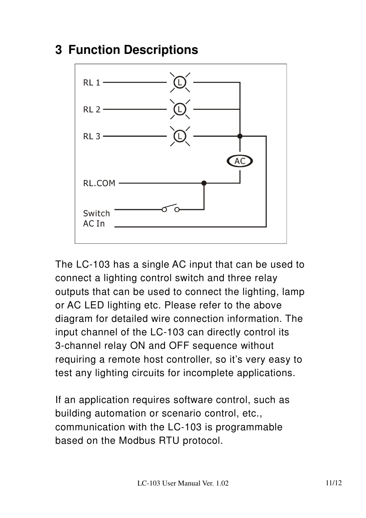## **3 Function Descriptions**



The LC-103 has a single AC input that can be used to connect a lighting control switch and three relay outputs that can be used to connect the lighting, lamp or AC LED lighting etc. Please refer to the above diagram for detailed wire connection information. The input channel of the LC-103 can directly control its 3-channel relay ON and OFF sequence without requiring a remote host controller, so it's very easy to test any lighting circuits for incomplete applications.

If an application requires software control, such as building automation or scenario control, etc., communication with the LC-103 is programmable based on the Modbus RTU protocol.